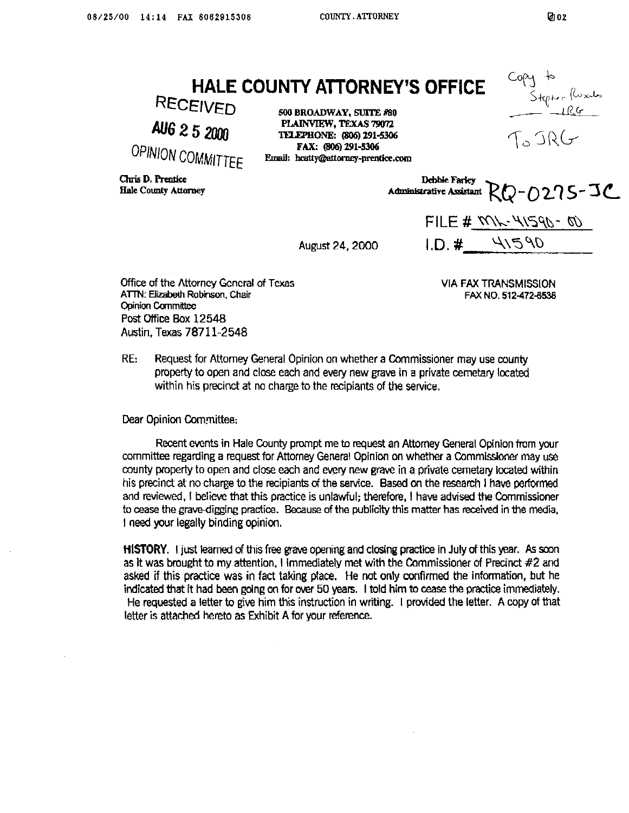**HALE COUNTY ATTORNEY'S OFFICE** 

RECEIVED AU6 2 5 2000

OPINION COMMITTEE

PLAINVIEW, TEXAS 79072 ECEIVED **500 BROADWAY, SUlTE #SO TELEPHONE: (806) 291-5306 FAX: @36)291-5306**  Email: hcatty@attorney-prentice.com

Cluis D. Prentice **Hale County Attorney** 

**Debbie Farley** Administrative Assistant RQ-0275-JC

August 24, 2000

FILE # XVK-41590-00 41590 I.D. #

**Office of the Attorney General of Texas ATTN: Elizabeth Robinson, Chair Opinion Committee Post Gftice Box 12548 Austin, Texas 7871 l-2548** 

**VIA FAX TRANSMISSION FAxNQ.512-472-5538** 

**RE: Request for Attorney General Opinion on whether a Commissioner may use county property to open and close each and every new grave in a private cernetary Iccated within his precinct at no charge to the recipiants of the service.** 

**Dear Opinion Committee;** 

**Recent events in Hale County prompt me to request an Attorney General Opinion from your committee regarding a request for Attorney General Opinion on whether a Commissioner may use county property to open and close each and every new grave in a privete cemetary located within his precinct at no charge to the recipiants of the service. Based on the research I have performed and reviewed, I believe that this practice is unlawful; therefore, I have advised the Commissioner**  to cease the grave-digging practice. Because of the publicity this matter has received in the media. **I need your legally binding opinion,** 

**HISTORY.** I just learned of this free grave opening and closing practice in July of this year. As soon **as it was bmught to my attention, I immediately met with the Commissioner of Precinct #2 and**  asked if this practice was in fact taking place. He not only confirmed the information, but he **indicated that it had been going on for over 50 years. I told him to cease the practice immediately. He requested a letter to give him this instruction in writing. I provfdad the letter. A copy of that letter is attached hereto as Exhibit A for your reference.** 

Stepholloxits<br>- 1RG

To JRG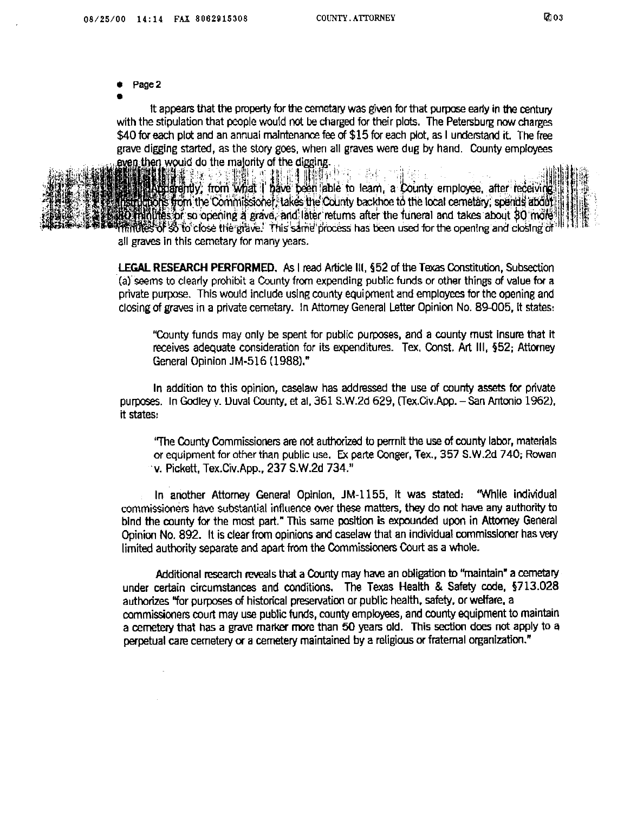- **0 Page2**
- **.**

**It appears that the property for the cometary was given for that purpose early in the century with the stipulation that people would not be charged for their plots. The Petersburg now charges \$40 for each plot and an annual maintenance fee of \$15 for each plot, as I understand it. The free grave digging started,** as **the story goes. when all graves were dug by hand, County employees** 



撒群人死 神經 非雌酮亚汞 - 高し Accepting from what I have been able to learn, a County employee, after receiving nuggers from the Commissioner. takes the County backhoe to the local cemetary, spends about Offinities of so opening a grave, and later returns after the funeral and takes about 30 mole milities of so to close the grave. This same process has been used for the opening and closing of all graves in this cemetary for many years.

**LEGAL RESEARCH PERFORMED, As I read Aticle III, 952 of the Texas Constitution, Subsection 'fal'seems to clearly prohibit a County fran expending public funds or other things of value for a private purpose. This would include using county equipment and employees for the opening and closing of graves in a private cemetary. In Attorney General Letter Opinion No. 89005. it states:** 

**"County funds may only be spent for public purposes, and a county must insure that it receives adequate consideration for its expenditures. Tex. Const. Art Ill, \$52; Attorney General Opinion JM-516 (1988)."** 

**In addition to this opinion, caselaw has addressed the use of county assets for private**  purposes. In Godley v. Duval County, et al, 361 S.W.2d 629, (Tex.Civ.App. - San Antonio 1962), **it states:** 

'The County Commissioners are not authorized to perrnit the use of county labor, materials **or equipment for other than public use. Ex pane Conger, Tex., 357 S.W.2d 740; Rowan 'v. Pickett. Tex.Civ.App., 237 S.W.2d 734."** 

**In another Attorney General Opinion. JM-1155, it was stated: "While individual**  commissioners have substantial influence over these matters, they do not have any authority to **bind the county for the most part." This same position is expounded upon in Attorney General Opinion No. 892. It is clear from opinions and caselaw that an individual commissioner has very limited authority separate and apart from the Commissioners Court as a whole.** 

**Additional research reveals that a County may have an obligation to "maintain" a cemetary under certain circumstances and conditions. The Texas Health & Safety code. 5713.028 authorizes "for purposes of historfcal preservation or public health, safety, or welfare. a**  mmmissioners **court may use public funds, county employees, and county equipment to maintain a cemetery that has a grave marker more than 50 years old. This section does not apply to a perpetual care cemetery (x a cemetery maintained by a religious or fraternal organization."**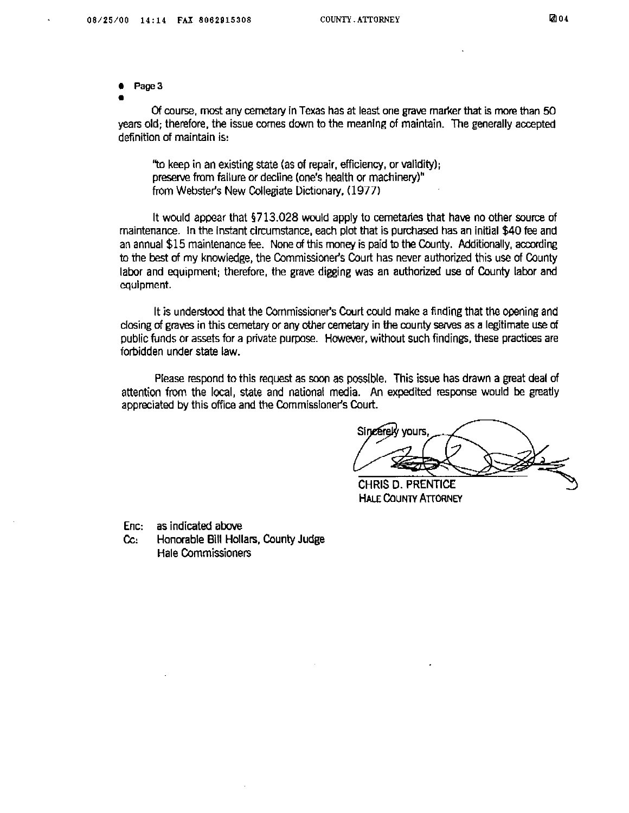**. Page3** 

**.** 

Of course, most any cemetary in Texas has at least one grave marker that is more than 50 **years old; therefore, the issue comes down to the meaning of maintain. The generally accepted definition of maintain is:** 

**"to keep in an existing state (as of repair, efficiency, or validity); preserve from failure or decline (one's health or machinery)" from Webster's New collegiate Dictionary, (1977)** 

**It would appear that 5713.028 would apply to cemetaries that have no other source of maintenance. In the Instant circumstance, each plot that is purchased has an initial \$40 fee and an annual \$15 maintenance fee. None of this money is paid to the Cwnty. Additionally, according to the best of my knowledge, the Commissioner's Court has never authorized this use of County labor and equipment; therefore, the grave digging was an authorized use of County labor and equipment.** 

It is understood that the Commissioner's Court could make a finding that the opening and dosing of graves in this cemetary or any other cemetary in the county serves as a legitimate use of **public funds or assets for a pnvate purpose. However, without such findings, these practices are forbidden under state law.** 

**Please respond to this request as soon as possible. This issue has drawn a great deal of attention from the local, state and national media. An expedited response would be greatly**  appreciated by this office and the Commissioner's Court.

Sincerek vours

CHRIS D. PRENTICE **HALE COUNTY ATTORNEY** 

**Enc: as indicated above** 

Cc: Honorable Bill Hollars, County Judge **Hale Commissioners**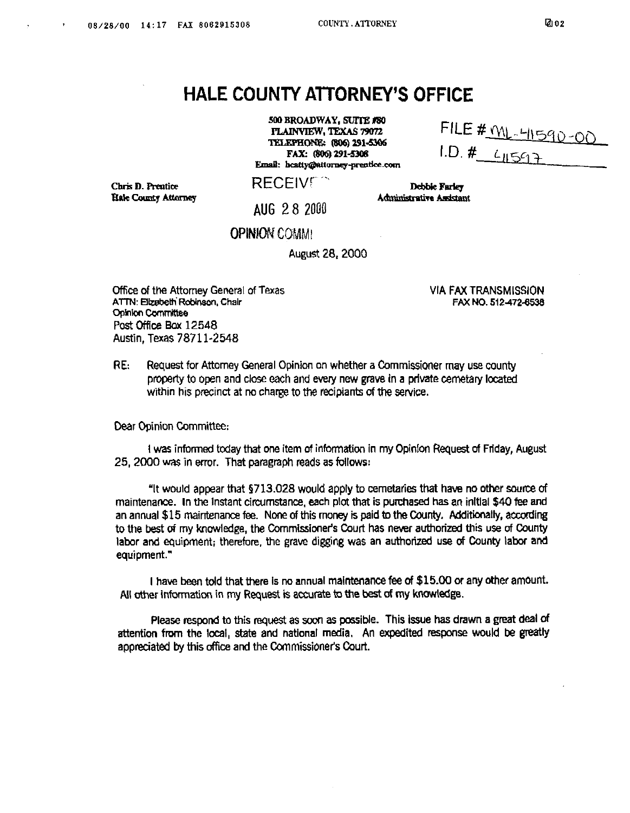## **HALE COUNTY ATTORNEY'S OFFICE**

500 BROADWAY, SUITE #80 PLAINVIEW, TEXAS 79072 TELEPHONE: (806) 291-5306 FAX: (806) 291-5306 Email: heatty@attorney-prentice.com

FILE # ML-41590-00  $1. D. 4 - 41597$ 

Chris D. Prentice Hale County Attorney **RECEIVER** 

**Administrative Assistant AUG 28 2000** 

**OPINION COMMI** 

**August 28,200O** 

**Office of the Attorney General of Texas ATTN: Elizabeth Robinson, Chair Committee Post Office Box 12548 Austin, Texas 7871 l-2548** 

**VIA FAX TRANSMISSION FAX NO. 512~72.6538** 

Debbie Farley

**RE:** Request for Attorney General Opinion on whether a Commissioner may use county **property to open and close each and every new grave in a private cernetary located within his precinct at nc charge to the recipiants of the service.** 

**Dear Opinion Committee:** 

**I was informed today that one item of inforrnatton in my Opinion Request of Friday, August**  25, 2000 was in error. That paragraph reads as follows:

**"It would appear that \$713.028 would apply to cemetaries that have no other source of maintenance. In the instant circumstance, each plot that is purchased has an initial \$40 fee and an annual \$15 maintenance fee. None of this money is paid to the County. Mditicnally, according**  to the best of my knowledge, the Commissioner's Court has never authorized this use of County **labor and equipment; therefore, the grave digging was an authorized use of County labor and equipment."** 

**I have been told that there Is no annual maintenance fee of \$15.00 or any other amOunt.**  All other information in my Request is accurate to the best of my knowledge.

Please respond to this request as soon as possible. This issue has drawn a great deal of **attention from the local, state and national media, An expedited response would be greatly**  appreciated by this office and the Commissioner's Court.